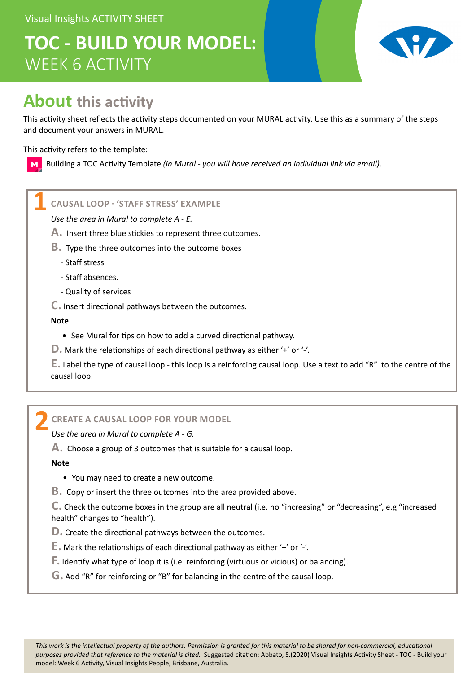Visual Insights ACTIVITY SHEET

# **TOC - BUILD YOUR MODEL:** WEEK 6 ACTIVITY



## **About this activity**

This activity sheet reflects the activity steps documented on your MURAL activity. Use this as a summary of the steps and document your answers in MURAL.

This activity refers to the template:

M

Building a TOC Activity Template *(in Mural - you will have received an individual link via email)*.

### **CAUSAL LOOP - 'STAFF STRESS' EXAMPLE 1**

*Use the area in Mural to complete A - E.*

- **A.** Insert three blue stickies to represent three outcomes.
- **B.** Type the three outcomes into the outcome boxes
	- Staff stress
	- Staff absences.
	- Quality of services
- **C.** Insert directional pathways between the outcomes.

#### **Note**

- See Mural for tips on how to add a curved directional pathway.
- **D.** Mark the relationships of each directional pathway as either '+' or '-'.

**E.** Label the type of causal loop - this loop is a reinforcing causal loop. Use a text to add "R" to the centre of the causal loop.

### **CREATE A CAUSAL LOOP FOR YOUR MODEL 2**

*Use the area in Mural to complete A - G.*

**A.** Choose a group of 3 outcomes that is suitable for a causal loop.

**Note**

- You may need to create a new outcome.
- **B.** Copy or insert the three outcomes into the area provided above.

**C.** Check the outcome boxes in the group are all neutral (i.e. no "increasing" or "decreasing", e.g "increased health" changes to "health").

**D.** Create the directional pathways between the outcomes.

**E.** Mark the relationships of each directional pathway as either '+' or '-'.

- **F.** Identify what type of loop it is (i.e. reinforcing (virtuous or vicious) or balancing).
- **G.** Add "R" for reinforcing or "B" for balancing in the centre of the causal loop.

*This work is the intellectual property of the authors. Permission is granted for this material to be shared for non-commercial, educational purposes provided that reference to the material is cited.* Suggested citation: Abbato, S.(2020) Visual Insights Activity Sheet - TOC - Build your model: Week 6 Activity, Visual Insights People, Brisbane, Australia.